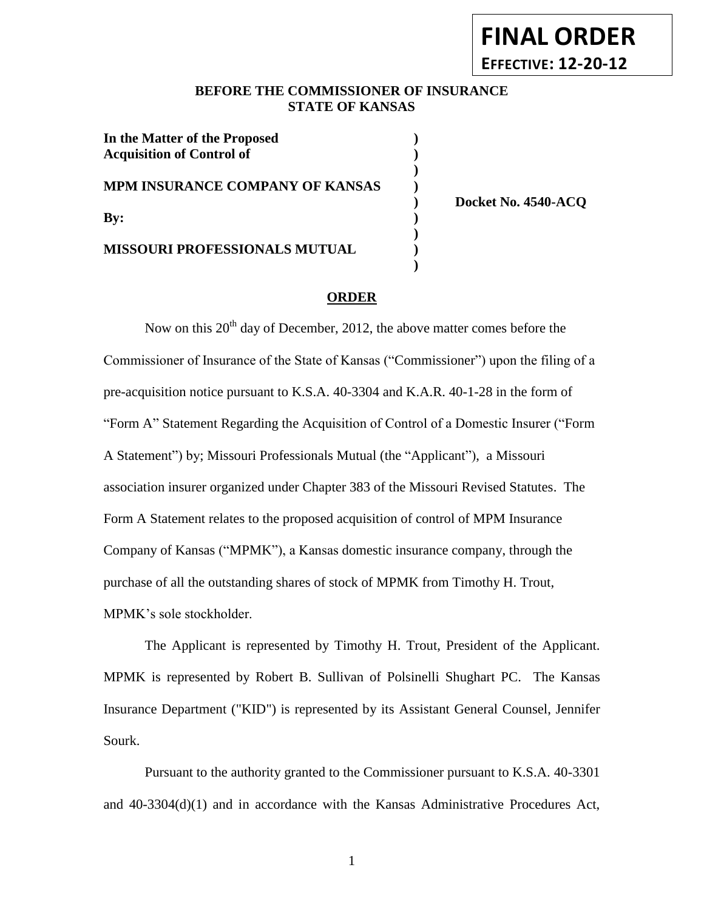### BEFORE THE COMMISSIONER OF INSURANCE **STATE OF KANSAS**

**)**

**)**

| In the Matter of the Proposed<br><b>Acquisition of Control of</b><br><b>MPM INSURANCE COMPANY OF KANSAS</b><br>$\mathbf{B}\mathbf{v}$ :<br>MISSOURI PROFESSIONALS MUTUAL |  |  |
|--------------------------------------------------------------------------------------------------------------------------------------------------------------------------|--|--|
|                                                                                                                                                                          |  |  |

**) Docket No. 4540-ACQ**

**FINAL ORDER**

**EFFECTIVE: 12-20-12**

#### **ORDER**

Now on this  $20<sup>th</sup>$  day of December, 2012, the above matter comes before the Commissioner of Insurance of the State of Kansas ("Commissioner") upon the filing of a pre-acquisition notice pursuant to K.S.A. 40-3304 and K.A.R. 40-1-28 in the form of "Form A" Statement Regarding the Acquisition of Control of a Domestic Insurer ("Form A Statement") by; Missouri Professionals Mutual (the "Applicant"), a Missouri association insurer organized under Chapter 383 of the Missouri Revised Statutes. The Form A Statement relates to the proposed acquisition of control of MPM Insurance Company of Kansas ("MPMK"), a Kansas domestic insurance company, through the purchase of all the outstanding shares of stock of MPMK from Timothy H. Trout, MPMK's sole stockholder.

The Applicant is represented by Timothy H. Trout, President of the Applicant. MPMK is represented by Robert B. Sullivan of Polsinelli Shughart PC. The Kansas Insurance Department ("KID") is represented by its Assistant General Counsel, Jennifer Sourk.

Pursuant to the authority granted to the Commissioner pursuant to K.S.A. 40-3301 and 40-3304(d)(1) and in accordance with the Kansas Administrative Procedures Act,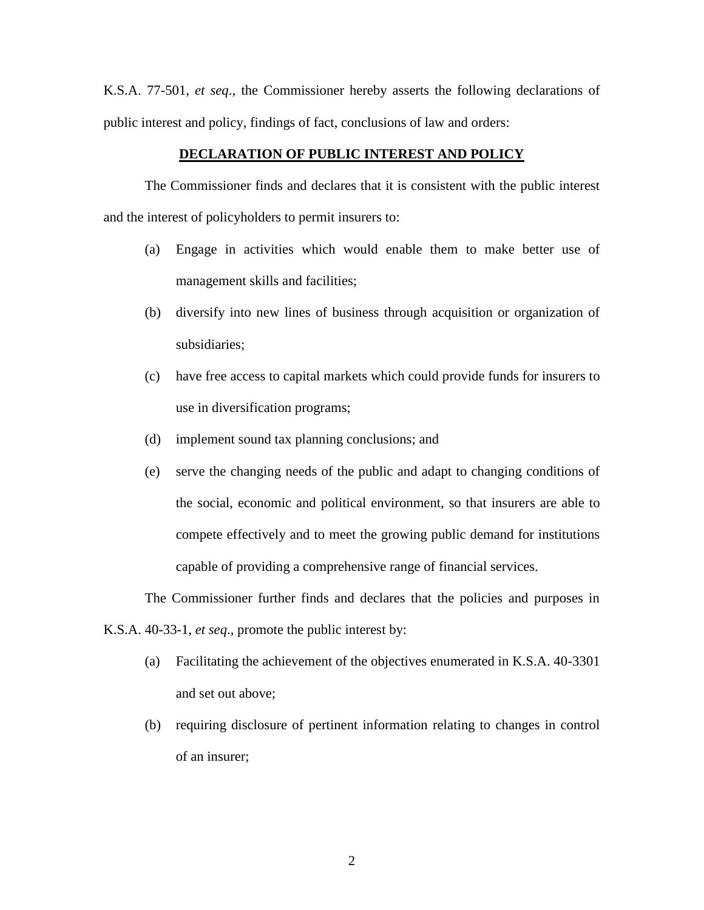K.S.A. 77-501, *et seq*., the Commissioner hereby asserts the following declarations of public interest and policy, findings of fact, conclusions of law and orders:

### **DECLARATION OF PUBLIC INTEREST AND POLICY**

The Commissioner finds and declares that it is consistent with the public interest and the interest of policyholders to permit insurers to:

- (a) Engage in activities which would enable them to make better use of management skills and facilities;
- (b) diversify into new lines of business through acquisition or organization of subsidiaries;
- (c) have free access to capital markets which could provide funds for insurers to use in diversification programs;
- (d) implement sound tax planning conclusions; and
- (e) serve the changing needs of the public and adapt to changing conditions of the social, economic and political environment, so that insurers are able to compete effectively and to meet the growing public demand for institutions capable of providing a comprehensive range of financial services.

The Commissioner further finds and declares that the policies and purposes in

K.S.A. 40-33-1, *et seq*., promote the public interest by:

- (a) Facilitating the achievement of the objectives enumerated in K.S.A. 40-3301 and set out above;
- (b) requiring disclosure of pertinent information relating to changes in control of an insurer;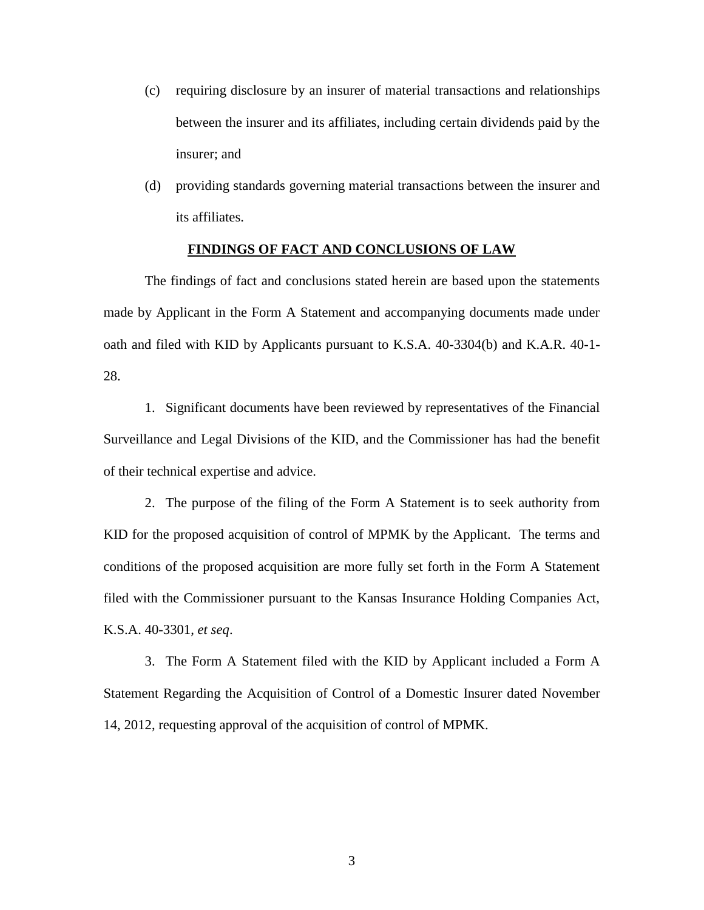- (c) requiring disclosure by an insurer of material transactions and relationships between the insurer and its affiliates, including certain dividends paid by the insurer; and
- (d) providing standards governing material transactions between the insurer and its affiliates.

### **FINDINGS OF FACT AND CONCLUSIONS OF LAW**

The findings of fact and conclusions stated herein are based upon the statements made by Applicant in the Form A Statement and accompanying documents made under oath and filed with KID by Applicants pursuant to K.S.A. 40-3304(b) and K.A.R. 40-1- 28.

1. Significant documents have been reviewed by representatives of the Financial Surveillance and Legal Divisions of the KID, and the Commissioner has had the benefit of their technical expertise and advice.

2. The purpose of the filing of the Form A Statement is to seek authority from KID for the proposed acquisition of control of MPMK by the Applicant. The terms and conditions of the proposed acquisition are more fully set forth in the Form A Statement filed with the Commissioner pursuant to the Kansas Insurance Holding Companies Act, K.S.A. 40-3301, *et seq*.

3. The Form A Statement filed with the KID by Applicant included a Form A Statement Regarding the Acquisition of Control of a Domestic Insurer dated November 14, 2012, requesting approval of the acquisition of control of MPMK.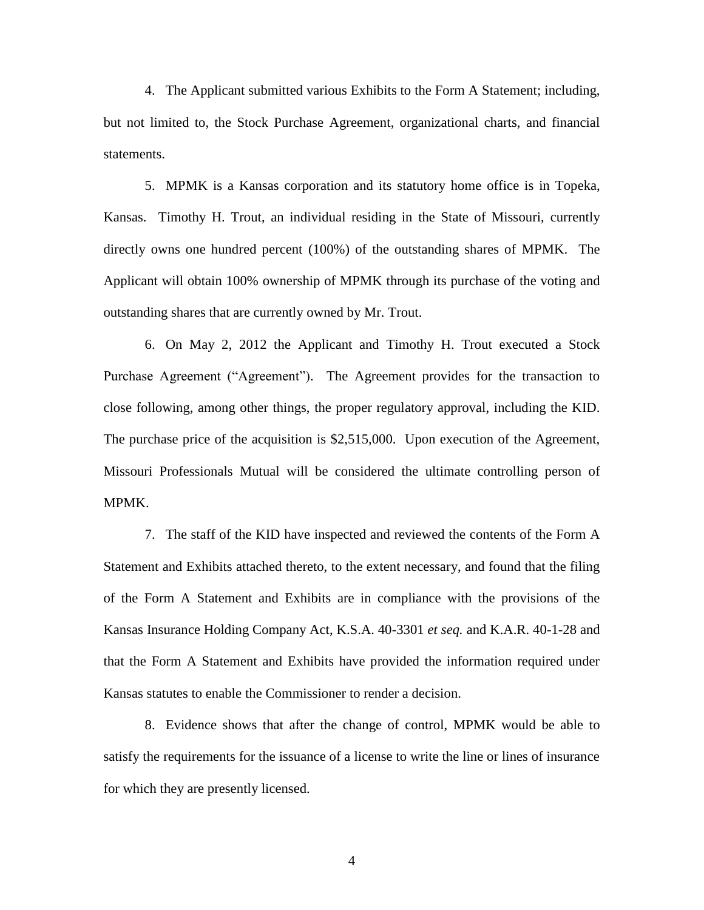4. The Applicant submitted various Exhibits to the Form A Statement; including, but not limited to, the Stock Purchase Agreement, organizational charts, and financial statements.

5. MPMK is a Kansas corporation and its statutory home office is in Topeka, Kansas. Timothy H. Trout, an individual residing in the State of Missouri, currently directly owns one hundred percent (100%) of the outstanding shares of MPMK. The Applicant will obtain 100% ownership of MPMK through its purchase of the voting and outstanding shares that are currently owned by Mr. Trout.

6. On May 2, 2012 the Applicant and Timothy H. Trout executed a Stock Purchase Agreement ("Agreement"). The Agreement provides for the transaction to close following, among other things, the proper regulatory approval, including the KID. The purchase price of the acquisition is \$2,515,000. Upon execution of the Agreement, Missouri Professionals Mutual will be considered the ultimate controlling person of MPMK.

7. The staff of the KID have inspected and reviewed the contents of the Form A Statement and Exhibits attached thereto, to the extent necessary, and found that the filing of the Form A Statement and Exhibits are in compliance with the provisions of the Kansas Insurance Holding Company Act, K.S.A. 40-3301 *et seq.* and K.A.R. 40-1-28 and that the Form A Statement and Exhibits have provided the information required under Kansas statutes to enable the Commissioner to render a decision.

8. Evidence shows that after the change of control, MPMK would be able to satisfy the requirements for the issuance of a license to write the line or lines of insurance for which they are presently licensed.

4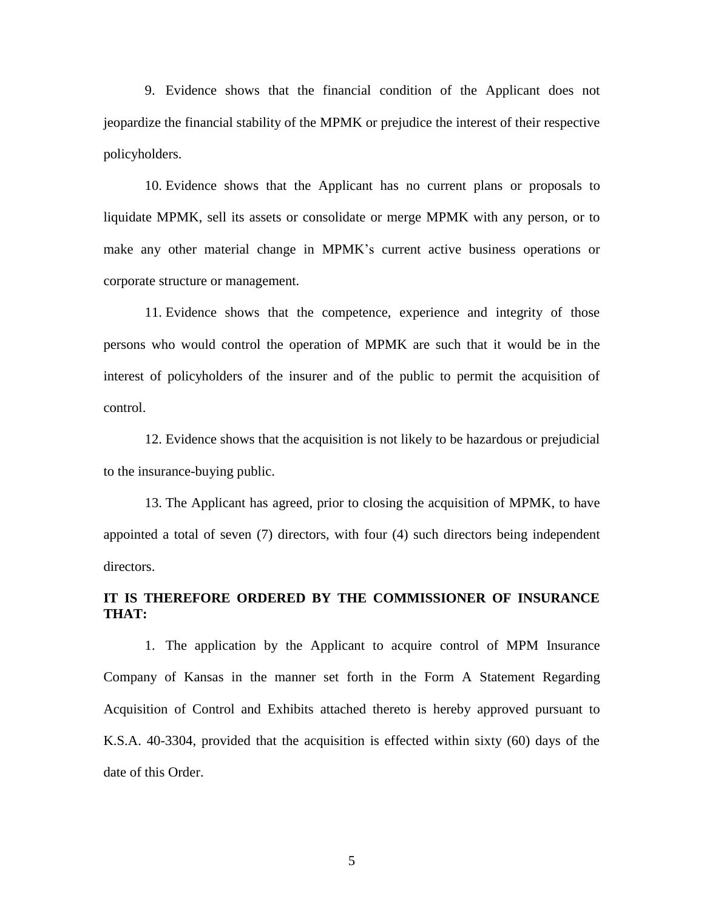9. Evidence shows that the financial condition of the Applicant does not jeopardize the financial stability of the MPMK or prejudice the interest of their respective policyholders.

10. Evidence shows that the Applicant has no current plans or proposals to liquidate MPMK, sell its assets or consolidate or merge MPMK with any person, or to make any other material change in MPMK's current active business operations or corporate structure or management.

11. Evidence shows that the competence, experience and integrity of those persons who would control the operation of MPMK are such that it would be in the interest of policyholders of the insurer and of the public to permit the acquisition of control.

12. Evidence shows that the acquisition is not likely to be hazardous or prejudicial to the insurance-buying public.

13. The Applicant has agreed, prior to closing the acquisition of MPMK, to have appointed a total of seven (7) directors, with four (4) such directors being independent directors.

## **IT IS THEREFORE ORDERED BY THE COMMISSIONER OF INSURANCE THAT:**

1. The application by the Applicant to acquire control of MPM Insurance Company of Kansas in the manner set forth in the Form A Statement Regarding Acquisition of Control and Exhibits attached thereto is hereby approved pursuant to K.S.A. 40-3304, provided that the acquisition is effected within sixty (60) days of the date of this Order.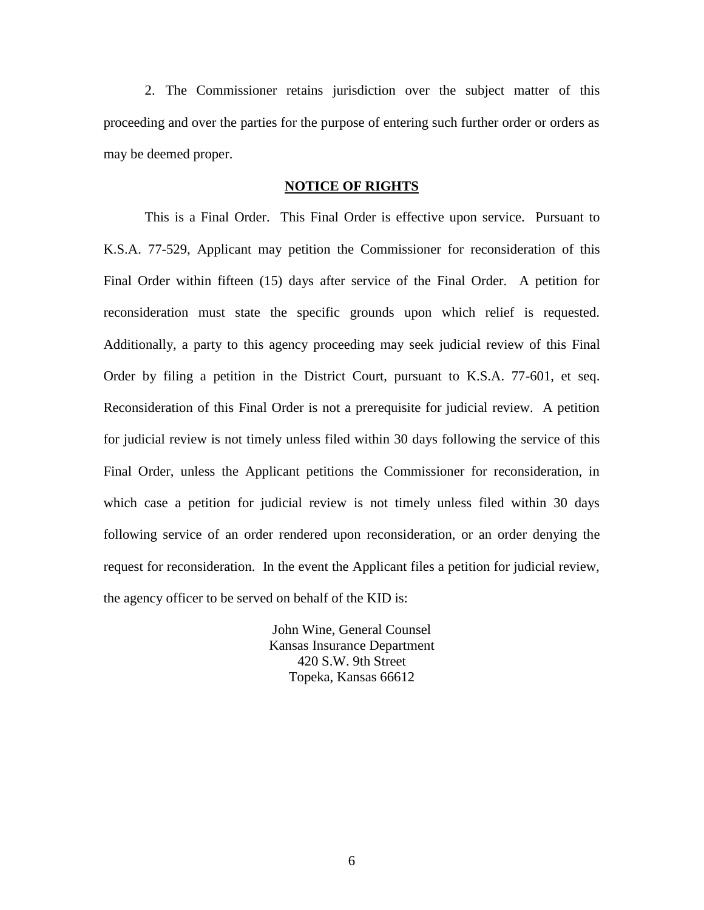2. The Commissioner retains jurisdiction over the subject matter of this proceeding and over the parties for the purpose of entering such further order or orders as may be deemed proper.

### **NOTICE OF RIGHTS**

This is a Final Order. This Final Order is effective upon service. Pursuant to K.S.A. 77-529, Applicant may petition the Commissioner for reconsideration of this Final Order within fifteen (15) days after service of the Final Order. A petition for reconsideration must state the specific grounds upon which relief is requested. Additionally, a party to this agency proceeding may seek judicial review of this Final Order by filing a petition in the District Court, pursuant to K.S.A. 77-601, et seq. Reconsideration of this Final Order is not a prerequisite for judicial review. A petition for judicial review is not timely unless filed within 30 days following the service of this Final Order, unless the Applicant petitions the Commissioner for reconsideration, in which case a petition for judicial review is not timely unless filed within 30 days following service of an order rendered upon reconsideration, or an order denying the request for reconsideration. In the event the Applicant files a petition for judicial review, the agency officer to be served on behalf of the KID is:

> John Wine, General Counsel Kansas Insurance Department 420 S.W. 9th Street Topeka, Kansas 66612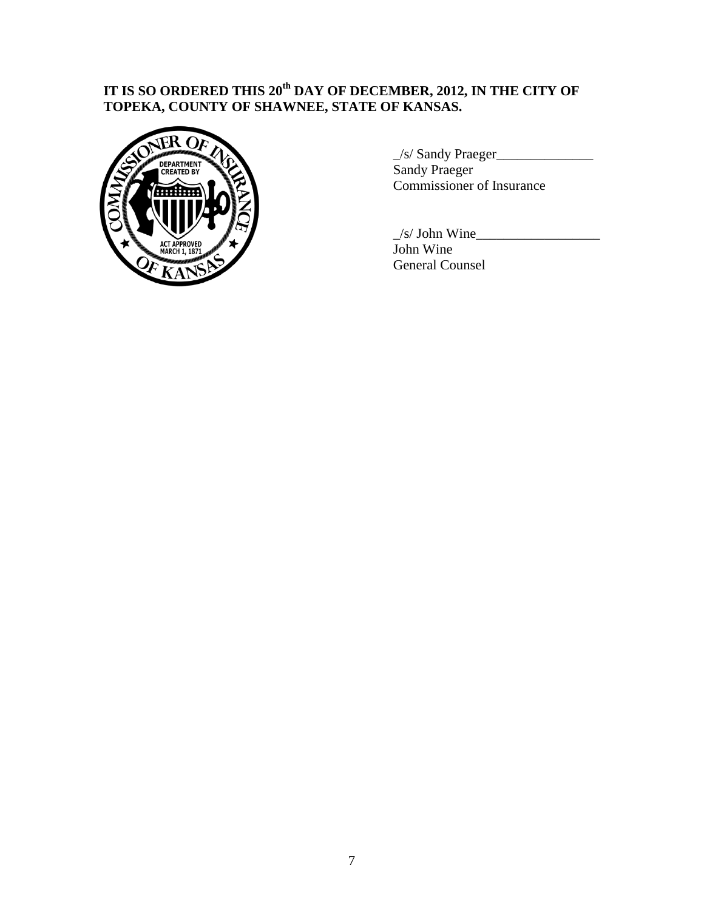## **IT IS SO ORDERED THIS 20th DAY OF DECEMBER, 2012, IN THE CITY OF TOPEKA, COUNTY OF SHAWNEE, STATE OF KANSAS.**



\_/s/ Sandy Praeger\_\_\_\_\_\_\_\_\_\_\_\_\_\_ Sandy Praeger Commissioner of Insurance

 $\angle$ s/ John Wine $\angle$ John Wine General Counsel